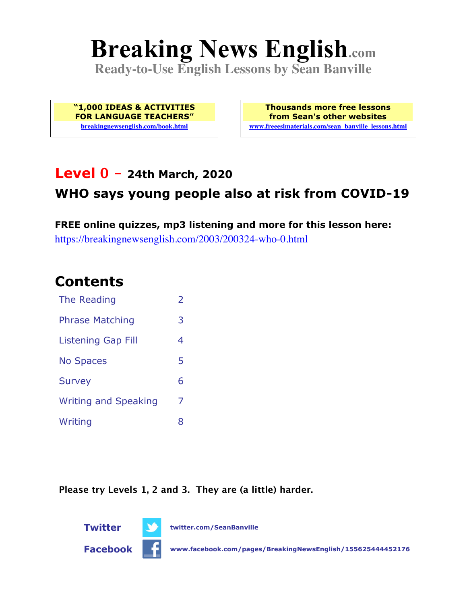# **Breaking News English.com**

**Ready-to-Use English Lessons by Sean Banville**

**"1,000 IDEAS & ACTIVITIES FOR LANGUAGE TEACHERS" breakingnewsenglish.com/book.html**

**Thousands more free lessons from Sean's other websites www.freeeslmaterials.com/sean\_banville\_lessons.html**

### **Level 0 - 24th March, 2020**

### **WHO says young people also at risk from COVID-19**

**FREE online quizzes, mp3 listening and more for this lesson here:** https://breakingnewsenglish.com/2003/200324-who-0.html

### **Contents**

| The Reading                 | $\overline{\phantom{a}}$ |
|-----------------------------|--------------------------|
| <b>Phrase Matching</b>      | 3                        |
| <b>Listening Gap Fill</b>   | 4                        |
| <b>No Spaces</b>            | 5                        |
| <b>Survey</b>               | 6                        |
| <b>Writing and Speaking</b> | 7                        |
| Writing                     | 8                        |

**Please try Levels 1, 2 and 3. They are (a little) harder.**



**Facebook www.facebook.com/pages/BreakingNewsEnglish/155625444452176**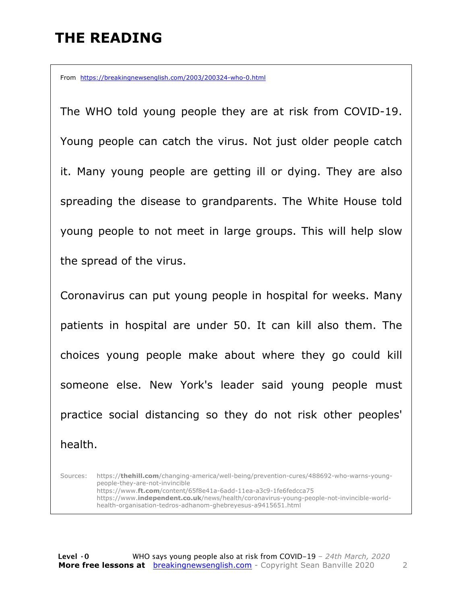# **THE READING**

From https://breakingnewsenglish.com/2003/200324-who-0.html

The WHO told young people they are at risk from COVID-19. Young people can catch the virus. Not just older people catch it. Many young people are getting ill or dying. They are also spreading the disease to grandparents. The White House told young people to not meet in large groups. This will help slow the spread of the virus.

Coronavirus can put young people in hospital for weeks. Many patients in hospital are under 50. It can kill also them. The choices young people make about where they go could kill someone else. New York's leader said young people must practice social distancing so they do not risk other peoples' health.

Sources: https://**thehill.com**/changing-america/well-being/prevention-cures/488692-who-warns-youngpeople-they-are-not-invincible https://www.**ft.com**/content/65f8e41a-6add-11ea-a3c9-1fe6fedcca75 https://www.**independent.co.uk**/news/health/coronavirus-young-people-not-invincible-worldhealth-organisation-tedros-adhanom-ghebreyesus-a9415651.html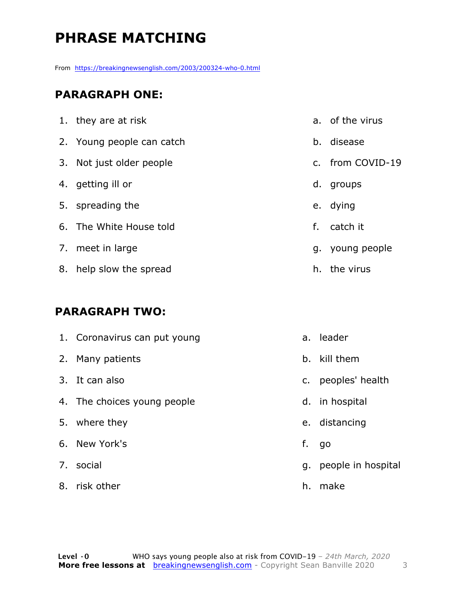# **PHRASE MATCHING**

From https://breakingnewsenglish.com/2003/200324-who-0.html

#### **PARAGRAPH ONE:**

| 1. they are at risk       |    | a. of the virus  |
|---------------------------|----|------------------|
| 2. Young people can catch |    | b. disease       |
| 3. Not just older people  |    | c. from COVID-19 |
| 4. getting ill or         | d. | groups           |
| 5. spreading the          |    | e. dying         |
| 6. The White House told   | f. | catch it         |
| 7. meet in large          |    | g. young people  |
| 8. help slow the spread   | h. | the virus        |

#### **PARAGRAPH TWO:**

| 1. Coronavirus can put young |    | a. leader             |
|------------------------------|----|-----------------------|
| 2. Many patients             |    | b. kill them          |
| 3. It can also               |    | c. peoples' health    |
| 4. The choices young people  |    | d. in hospital        |
| 5. where they                |    | e. distancing         |
| 6. New York's                | f. | go                    |
| 7. social                    |    | g. people in hospital |
| 8. risk other                | h. | make                  |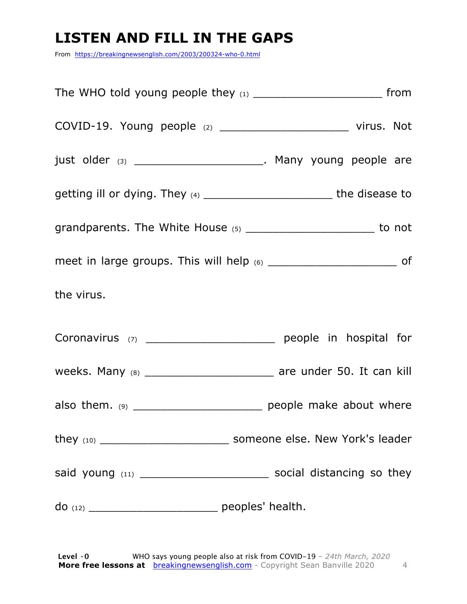# **LISTEN AND FILL IN THE GAPS**

From https://breakingnewsenglish.com/2003/200324-who-0.html

| just older (3) ________________________. Many young people are                   |  |
|----------------------------------------------------------------------------------|--|
| getting ill or dying. They $(4)$ _________________________________the disease to |  |
|                                                                                  |  |
|                                                                                  |  |
| the virus.                                                                       |  |
| Coronavirus (7) ___________________________ people in hospital for               |  |
|                                                                                  |  |
| also them. $(9)$ _________________________________ people make about where       |  |
|                                                                                  |  |
| said young (11) _________________________________ social distancing so they      |  |
|                                                                                  |  |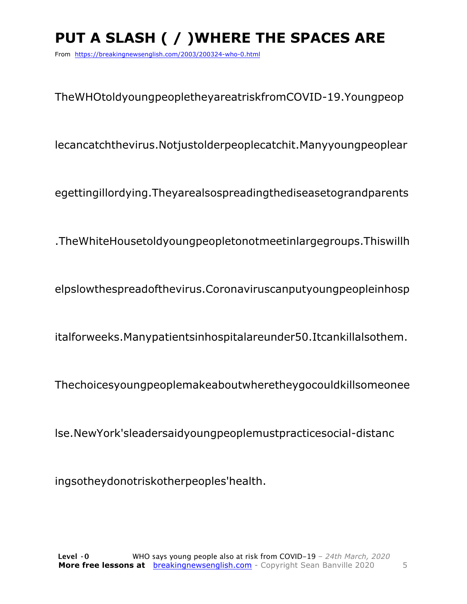# **PUT A SLASH ( / )WHERE THE SPACES ARE**

From https://breakingnewsenglish.com/2003/200324-who-0.html

TheWHOtoldyoungpeopletheyareatriskfromCOVID-19.Youngpeop

lecancatchthevirus.Notjustolderpeoplecatchit.Manyyoungpeoplear

egettingillordying.Theyarealsospreadingthediseasetograndparents

.TheWhiteHousetoldyoungpeopletonotmeetinlargegroups.Thiswillh

elpslowthespreadofthevirus.Coronaviruscanputyoungpeopleinhosp

italforweeks.Manypatientsinhospitalareunder50.Itcankillalsothem.

Thechoicesyoungpeoplemakeaboutwheretheygocouldkillsomeonee

lse.NewYork'sleadersaidyoungpeoplemustpracticesocial-distanc

ingsotheydonotriskotherpeoples'health.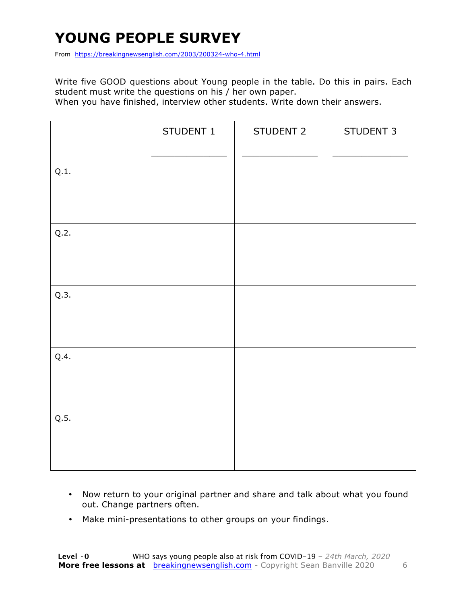# **YOUNG PEOPLE SURVEY**

From https://breakingnewsenglish.com/2003/200324-who-4.html

Write five GOOD questions about Young people in the table. Do this in pairs. Each student must write the questions on his / her own paper.

When you have finished, interview other students. Write down their answers.

|      | STUDENT 1 | STUDENT 2 | STUDENT 3 |
|------|-----------|-----------|-----------|
| Q.1. |           |           |           |
| Q.2. |           |           |           |
| Q.3. |           |           |           |
| Q.4. |           |           |           |
| Q.5. |           |           |           |

- Now return to your original partner and share and talk about what you found out. Change partners often.
- Make mini-presentations to other groups on your findings.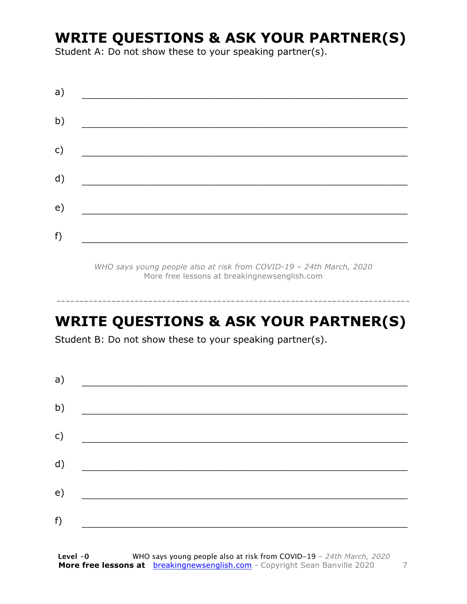### **WRITE QUESTIONS & ASK YOUR PARTNER(S)**

Student A: Do not show these to your speaking partner(s).

| a) |  |  |
|----|--|--|
| b) |  |  |
| c) |  |  |
| d) |  |  |
| e) |  |  |
|    |  |  |
| f) |  |  |

*WHO says young people also at risk from COVID-19 – 24th March, 2020* More free lessons at breakingnewsenglish.com

### **WRITE QUESTIONS & ASK YOUR PARTNER(S)**

-----------------------------------------------------------------------------

Student B: Do not show these to your speaking partner(s).

| a) |  |  |  |
|----|--|--|--|
| b) |  |  |  |
| c) |  |  |  |
| d) |  |  |  |
| e) |  |  |  |
| f) |  |  |  |
|    |  |  |  |

**Level ·0** WHO says young people also at risk from COVID-19 *– 24th March, 2020* **More free lessons at** breakingnewsenglish.com - Copyright Sean Banville 2020 7